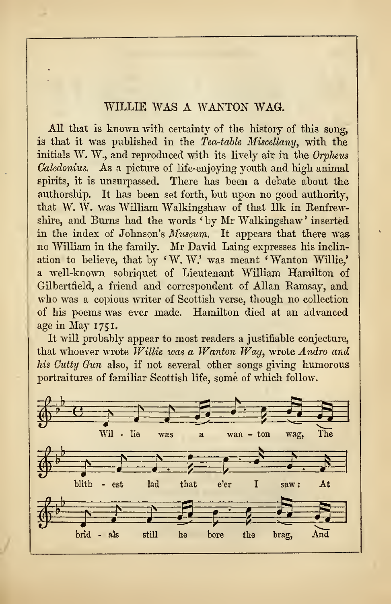## WILLIE WAS A WANTON WAG.

All that is known with certainty of the history of this song, is that it was published in the Tea-table Miscellany, with the initials W. W., and reproduced with its lively air in the Orpheus Caledonius. As a picture of life-enjoying youth and high animal spirits, it is unsurpassed. There has been a debate about the authorship. It has been set forth, but upon no good authority, that W. W. was William Walkingshaw of that Ilk in Kenfrewshire, and Burns had the words ' by Mr Walkingshaw ' inserted in the index of Johnson's Museum. It appears that there was no William in the family. Mr David Laing expresses his inclin ation to believe, that by ' W. W.' was meant ' Wanton Willie,' a well-known sobriquet of Lieutenant William Hamilton of Gilbertfield, a friend and correspondent of Allan Ramsay, and who was a copious writer of Scottish verse, though no collection of his poems was ever made. Hamilton died at an advanced age in May 1751.

It will probably appear to most readers a justifiable conjecture, that whoever wrote Willie was a Wanton Wag, wrote Andro and his Cutty Gun also, if not several other songs giving humorous portraitures of familiar Scottish life, some of which follow.

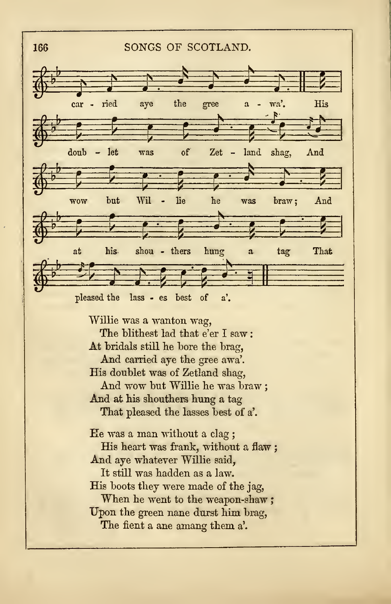

His doublet was of Zetland shag, And wow but Willie he was braw And at his shouthers hung a tag

That pleased the lasses best of a'.

Ee was a man without a clag His heart was frank, without a flaw; And aye whatever Willie said, It still was hadden as a law. His boots they were made of the jag, When he went to the weapon-shaw; Upon the green nane durst him brag, The fient a ane amang them a'.